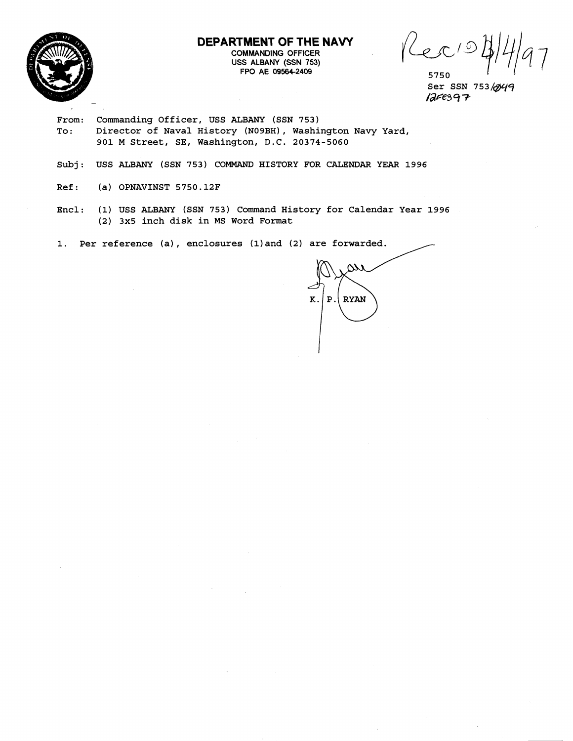

**DEPARTMENT OF THE NAVY COMMANDING OFFICER USS ALBANY (SSN 753) FPO AE 09564-2409** 

Ker  $\sigma$ 

5750 **Ser SSN 753/@+9**   $125697$ 

- **From: Commanding Officer, USS ALBANY (SSN 753)**  To: Director of Naval History (N09BH), Washington Navy Yard, **901 M Street, SE, Washington, D.C. 20374-5060**
- **Subj: USS ALBANY (SSN 753) COMMAND HISTORY FOR CALENDAR YEAR 1996**
- **Ref: (a) OPNAVINST 5750.12F**
- **Encl: (1) USS ALBANY (SSN 753) Command History for Calendar Year 1996 (2) 3x5 inch disk in MS Word Format**

**1. Per reference (a)** , **enclosures (1) and (2) are forwarded.** 

 $\omega$  $|P|$  RYAN  $K.$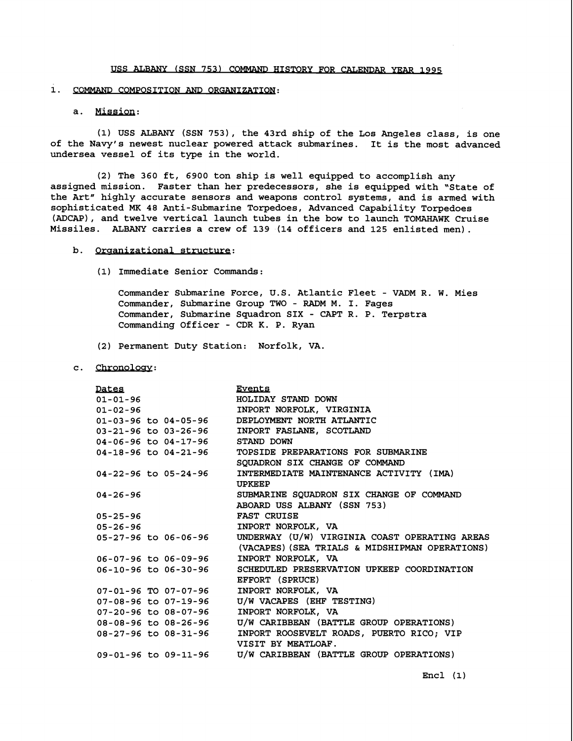#### 1. COMMAND COMPOSITION AND ORGANIZATION:

## a. Mission:

**(1) USS ALBANY (SSN 7531, the 43rd ship of the Los Angeles class, is one of the Navy's newest nuclear powered attack submarines. It is the most advanced undersea vessel of its type in the world.** 

**(2) The 360 ft, 6900 ton ship is well equipped to accomplish any assigned mission. Faster than her predecessors, she is equipped with "State of**  the Art" highly accurate sensors and weapons control systems, and is armed with **sophisticated MK 48 Anti-Submarine Torpedoes, Advanced Capability Torpedoes (ADCAP), and twelve vertical launch tubes in the bow to launch TOMAHAWK Cruise Missiles. ALBANY carries a crew of 139 (14 officers and 125 enlisted men).** 

#### b. Organizational structure:

**(1) Immediate Senior Commands:** 

**Commander Submarine Force, U.S. Atlantic Fleet** - **VADM R. W. Mies Commander, Submarine Group TWO** - **RADM M. I. Fages Commander, Submarine Squadron SIX** - **CAPT R. P. Terpstra Commanding Officer** - **CDR K. P. Ryan** 

- **(2) Permanent Duty Station: Norfolk, VA.**
- c. Chronology:

| Dates                                   | Events                                                             |
|-----------------------------------------|--------------------------------------------------------------------|
| $01 - 01 - 96$                          | HOLIDAY STAND DOWN                                                 |
| $01 - 02 - 96$                          | INPORT NORFOLK, VIRGINIA                                           |
|                                         | 01-03-96 to 04-05-96 DEPLOYMENT NORTH ATLANTIC                     |
|                                         | 03-21-96 to 03-26-96 INPORT FASLANE, SCOTLAND                      |
| 04-06-96 to 04-17-96 STAND DOWN         |                                                                    |
|                                         | 04-18-96 to 04-21-96 TOPSIDE PREPARATIONS FOR SUBMARINE            |
|                                         | SOUADRON SIX CHANGE OF COMMAND                                     |
| 04-22-96 to 05-24-96                    | INTERMEDIATE MAINTENANCE ACTIVITY (IMA)                            |
|                                         | <b>UPKEEP</b>                                                      |
| $04 - 26 - 96$                          | SUBMARINE SQUADRON SIX CHANGE OF COMMAND                           |
|                                         | ABOARD USS ALBANY (SSN 753)                                        |
| 05-25-96                                | FAST CRUISE                                                        |
| $05 - 26 - 96$                          | INPORT NORFOLK, VA                                                 |
|                                         | 05-27-96 to 06-06-96 UNDERWAY (U/W) VIRGINIA COAST OPERATING AREAS |
|                                         | (VACAPES) (SEA TRIALS & MIDSHIPMAN OPERATIONS)                     |
| 06-07-96 to 06-09-96                    | INPORT NORFOLK, VA                                                 |
| 06-10-96 to 06-30-96                    | SCHEDULED PRESERVATION UPKEEP COORDINATION                         |
|                                         | EFFORT (SPRUCE)                                                    |
| 07-01-96 TO 07-07-96 INPORT NORFOLK, VA |                                                                    |
| 07-08-96 to 07-19-96                    | U/W VACAPES (EHF TESTING)                                          |
| 07-20-96 to 08-07-96                    | INPORT NORFOLK, VA                                                 |
| 08-08-96 to 08-26-96                    | U/W CARIBBEAN (BATTLE GROUP OPERATIONS)                            |
| 08-27-96 to 08-31-96                    | INPORT ROOSEVELT ROADS, PUERTO RICO; VIP                           |
|                                         | VISIT BY MEATLOAF.                                                 |
|                                         | 09-01-96 to 09-11-96 U/W CARIBBEAN (BATTLE GROUP OPERATIONS)       |
|                                         |                                                                    |